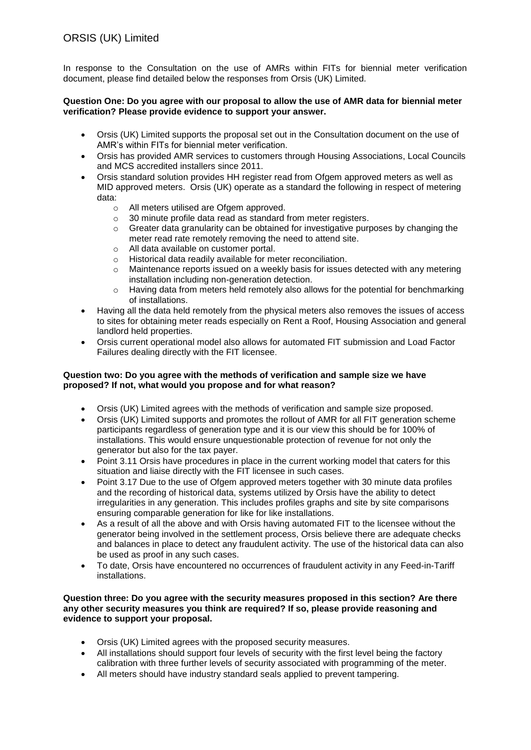# ORSIS (UK) Limited

In response to the Consultation on the use of AMRs within FITs for biennial meter verification document, please find detailed below the responses from Orsis (UK) Limited.

### **Question One: Do you agree with our proposal to allow the use of AMR data for biennial meter verification? Please provide evidence to support your answer.**

- Orsis (UK) Limited supports the proposal set out in the Consultation document on the use of AMR's within FITs for biennial meter verification.
- Orsis has provided AMR services to customers through Housing Associations, Local Councils and MCS accredited installers since 2011.
- Orsis standard solution provides HH register read from Ofgem approved meters as well as MID approved meters. Orsis (UK) operate as a standard the following in respect of metering data:
	- o All meters utilised are Ofgem approved.
	- o 30 minute profile data read as standard from meter registers.
	- o Greater data granularity can be obtained for investigative purposes by changing the meter read rate remotely removing the need to attend site.
	- o All data available on customer portal.
	- o Historical data readily available for meter reconciliation.
	- o Maintenance reports issued on a weekly basis for issues detected with any metering installation including non-generation detection.
	- $\circ$  Having data from meters held remotely also allows for the potential for benchmarking of installations.
- Having all the data held remotely from the physical meters also removes the issues of access to sites for obtaining meter reads especially on Rent a Roof, Housing Association and general landlord held properties.
- Orsis current operational model also allows for automated FIT submission and Load Factor Failures dealing directly with the FIT licensee.

# **Question two: Do you agree with the methods of verification and sample size we have proposed? If not, what would you propose and for what reason?**

- Orsis (UK) Limited agrees with the methods of verification and sample size proposed.
- Orsis (UK) Limited supports and promotes the rollout of AMR for all FIT generation scheme participants regardless of generation type and it is our view this should be for 100% of installations. This would ensure unquestionable protection of revenue for not only the generator but also for the tax payer.
- Point 3.11 Orsis have procedures in place in the current working model that caters for this situation and liaise directly with the FIT licensee in such cases.
- Point 3.17 Due to the use of Ofgem approved meters together with 30 minute data profiles and the recording of historical data, systems utilized by Orsis have the ability to detect irregularities in any generation. This includes profiles graphs and site by site comparisons ensuring comparable generation for like for like installations.
- As a result of all the above and with Orsis having automated FIT to the licensee without the generator being involved in the settlement process, Orsis believe there are adequate checks and balances in place to detect any fraudulent activity. The use of the historical data can also be used as proof in any such cases.
- To date, Orsis have encountered no occurrences of fraudulent activity in any Feed-in-Tariff installations.

## **Question three: Do you agree with the security measures proposed in this section? Are there any other security measures you think are required? If so, please provide reasoning and evidence to support your proposal.**

- Orsis (UK) Limited agrees with the proposed security measures.
- All installations should support four levels of security with the first level being the factory calibration with three further levels of security associated with programming of the meter.
- All meters should have industry standard seals applied to prevent tampering.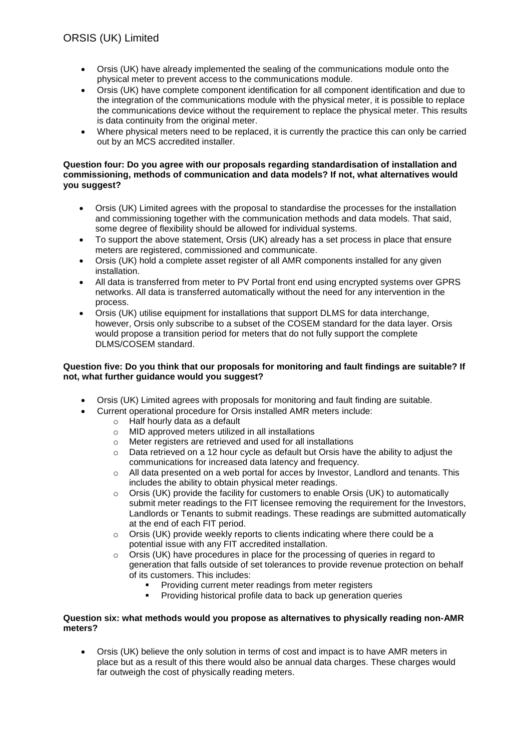- Orsis (UK) have already implemented the sealing of the communications module onto the physical meter to prevent access to the communications module.
- Orsis (UK) have complete component identification for all component identification and due to the integration of the communications module with the physical meter, it is possible to replace the communications device without the requirement to replace the physical meter. This results is data continuity from the original meter.
- Where physical meters need to be replaced, it is currently the practice this can only be carried out by an MCS accredited installer.

### **Question four: Do you agree with our proposals regarding standardisation of installation and commissioning, methods of communication and data models? If not, what alternatives would you suggest?**

- Orsis (UK) Limited agrees with the proposal to standardise the processes for the installation and commissioning together with the communication methods and data models. That said, some degree of flexibility should be allowed for individual systems.
- To support the above statement, Orsis (UK) already has a set process in place that ensure meters are registered, commissioned and communicate.
- Orsis (UK) hold a complete asset register of all AMR components installed for any given installation.
- All data is transferred from meter to PV Portal front end using encrypted systems over GPRS networks. All data is transferred automatically without the need for any intervention in the process.
- Orsis (UK) utilise equipment for installations that support DLMS for data interchange, however, Orsis only subscribe to a subset of the COSEM standard for the data layer. Orsis would propose a transition period for meters that do not fully support the complete DLMS/COSEM standard.

# **Question five: Do you think that our proposals for monitoring and fault findings are suitable? If not, what further guidance would you suggest?**

- Orsis (UK) Limited agrees with proposals for monitoring and fault finding are suitable.
- Current operational procedure for Orsis installed AMR meters include:
	- o Half hourly data as a default
	- o MID approved meters utilized in all installations
	- o Meter registers are retrieved and used for all installations
	- o Data retrieved on a 12 hour cycle as default but Orsis have the ability to adjust the communications for increased data latency and frequency.
	- $\circ$  All data presented on a web portal for acces by Investor, Landlord and tenants. This includes the ability to obtain physical meter readings.
	- $\circ$  Orsis (UK) provide the facility for customers to enable Orsis (UK) to automatically submit meter readings to the FIT licensee removing the requirement for the Investors, Landlords or Tenants to submit readings. These readings are submitted automatically at the end of each FIT period.
	- o Orsis (UK) provide weekly reports to clients indicating where there could be a potential issue with any FIT accredited installation.
	- $\circ$  Orsis (UK) have procedures in place for the processing of queries in regard to generation that falls outside of set tolerances to provide revenue protection on behalf of its customers. This includes:
		- Providing current meter readings from meter registers
		- Providing historical profile data to back up generation queries

# **Question six: what methods would you propose as alternatives to physically reading non-AMR meters?**

 Orsis (UK) believe the only solution in terms of cost and impact is to have AMR meters in place but as a result of this there would also be annual data charges. These charges would far outweigh the cost of physically reading meters.